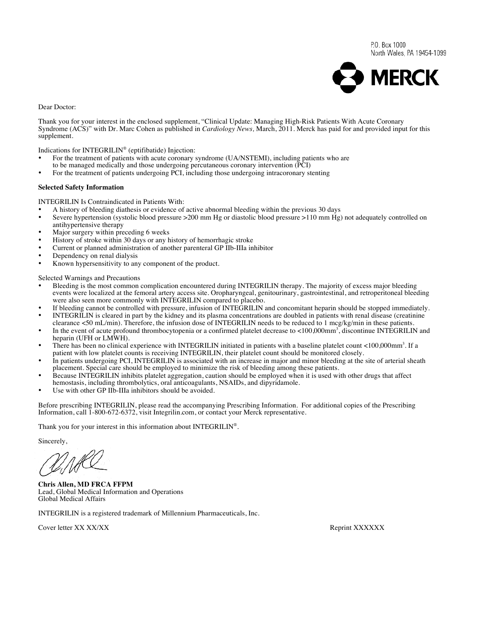P.O. Box 1000 North Wales, PA 19454-1099



Dear Doctor:

Thank you for your interest in the enclosed supplement, "Clinical Update: Managing High-Risk Patients With Acute Coronary Syndrome (ACS)" with Dr. Marc Cohen as published in *Cardiology News,* March, 2011. Merck has paid for and provided input for this supplement.

Indications for INTEGRILIN® (eptifibatide) Injection:

- For the treatment of patients with acute coronary syndrome (UA/NSTEMI), including patients who are
- to be managed medically and those undergoing percutaneous coronary intervention (PCI)
- For the treatment of patients undergoing PCI, including those undergoing intracoronary stenting

#### **Selected Safety Information**

INTEGRILIN Is Contraindicated in Patients With:

- A history of bleeding diathesis or evidence of active abnormal bleeding within the previous 30 days
- Severe hypertension (systolic blood pressure >200 mm Hg or diastolic blood pressure >110 mm Hg) not adequately controlled on antihypertensive therapy
- Major surgery within preceding 6 weeks
- History of stroke within 30 days or any history of hemorrhagic stroke
- Current or planned administration of another parenteral GP IIb-IIIa inhibitor
- Dependency on renal dialysis
- Known hypersensitivity to any component of the product.

Selected Warnings and Precautions

- Bleeding is the most common complication encountered during INTEGRILIN therapy. The majority of excess major bleeding events were localized at the femoral artery access site. Oropharyngeal, genitourinary, gastrointestinal, and retroperitoneal bleeding were also seen more commonly with INTEGRILIN compared to placebo.
- If bleeding cannot be controlled with pressure, infusion of INTEGRILIN and concomitant heparin should be stopped immediately. • INTEGRILIN is cleared in part by the kidney and its plasma concentrations are doubled in patients with renal disease (creatinine
- clearance <50 mL/min). Therefore, the infusion dose of INTEGRILIN needs to be reduced to 1 mcg/kg/min in these patients.
- In the event of acute profound thrombocytopenia or a confirmed platelet decrease to <100,000mm<sup>3</sup>, discontinue INTEGRILIN and heparin (UFH or LMWH).
- There has been no clinical experience with INTEGRILIN initiated in patients with a baseline platelet count <100,000mm<sup>3</sup>. If a patient with low platelet counts is receiving INTEGRILIN, their platelet count should be monitored closely.
- In patients undergoing PCI, INTEGRILIN is associated with an increase in major and minor bleeding at the site of arterial sheath placement. Special care should be employed to minimize the risk of bleeding among these patients.
- Because INTEGRILIN inhibits platelet aggregation, caution should be employed when it is used with other drugs that affect hemostasis, including thrombolytics, oral anticoagulants, NSAIDs, and dipyridamole.
- Use with other GP IIb-IIIa inhibitors should be avoided.

Before prescribing INTEGRILIN, please read the accompanying Prescribing Information. For additional copies of the Prescribing Information, call 1-800-672-6372, visit Integrilin.com, or contact your Merck representative.

Thank you for your interest in this information about INTEGRILIN<sup>®</sup>.

Sincerely,

**Chris Allen, MD FRCA FFPM**  Lead, Global Medical Information and Operations Global Medical Affairs

INTEGRILIN is a registered trademark of Millennium Pharmaceuticals, Inc.

Cover letter XX XX/XX Reprint XXXXXXX Reprint XXXXXXX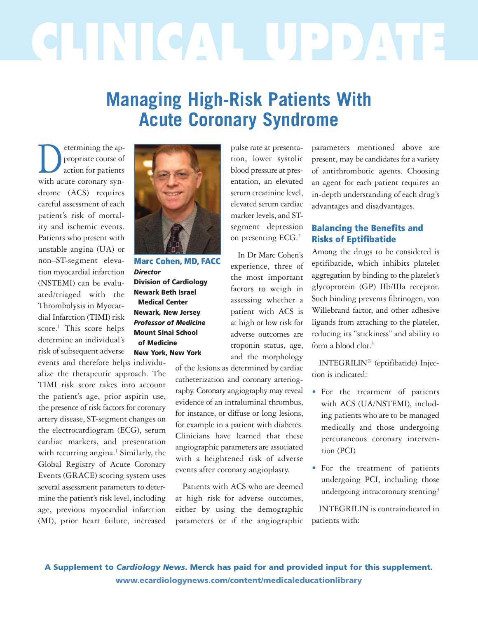# **CLINICAL UPDATE**

# **Managing High-Risk Patients With Acute Coronary Syndrome**

segment depression on presenting ECG. 2

In Dr Marc Cohen's experience, three of the most important factors to weigh in assessing whether a patient with ACS is at high or low risk for adverse outcomes are troponin status, age, and the morphology

etermining the appropriate course of<br>action for patients propriate course of action for patients with acute coronary syndrome (ACS) requires careful assessment of each patient's risk of mortality and ischemic events. Patients who present with unstable angina (UA) or non–ST-segment elevation myocardial infarction (NSTEMI) can be evaluated/triaged with the Thrombolysis in Myocardial Infarction (TIMI) risk score. <sup>1</sup> This score helps determine an individual's risk of subsequent adverse events and therefore helps individu-

alize the therapeutic approach. The TIMI risk score takes into account the patient's age, prior aspirin use, the presence of risk factors for coronary artery disease, ST-segment changes on the electrocardiogram (ECG), serum cardiac markers, and presentation with recurring angina. <sup>1</sup> Similarly, the Global Registry of Acute Coronary Events (GRACE) scoring system uses several assessment parameters to determine the patient's risk level, including age, previous myocardial infarction (MI), prior heart failure, increased



**Marc Cohen, MD, FACC** *Director* **Division of Cardiology Newark Beth Israel Medical Center Newark, New Jersey** *Professor of Medicine* **Mount Sinai School of Medicine New York, New York**

of the lesions as determined by cardiac catheterization and coronary arteriography. Coronary angiography may reveal evidence of an intraluminal thrombus, for instance, or diffuse or long lesions, for example in a patient with diabetes. Clinicians have learned that these angiographic parameters are associated with a heightened risk of adverse events after coronary angioplasty.

Patients with ACS who are deemed at high risk for adverse outcomes, either by using the demographic parameters or if the angiographic

pulse rate at presentation, lower systolic blood pressure at presentation, an elevated serum creatinine level. elevated serum cardiac marker levels,and STparameters mentioned above are present, may be candidates for a variety of antithrombotic agents. Choosing an agent for each patient requires an in-depth understanding of each drug's advantages and disadvantages.

## **Balancing the Benefits and Risks of Eptifibatide**

Among the drugs to be considered is eptifibatide, which inhibits platelet aggregation by binding to the platelet's glycoprotein (GP) IIb/IIIa receptor. Such binding prevents fibrinogen, von Willebrand factor, and other adhesive ligands from attaching to the platelet, reducing its "stickiness" and ability to form a blood clot. 3

INTEGRILIN® (eptifibatide) Injection is indicated:

- For the treatment of patients with ACS (UA/NSTEMI), including patients who are to be managed medically and those undergoing percutaneous coronary intervention (PCI)
- For the treatment of patients undergoing PCI, including those undergoing intracoronary stenting<sup>3</sup>

INTEGRILIN is contraindicated in patients with:

**A Supplement to** *Cardiology News***. Merck has paid for and provided input for this supplement. www.ecardiologynews.com/content/medicaleducationlibrary**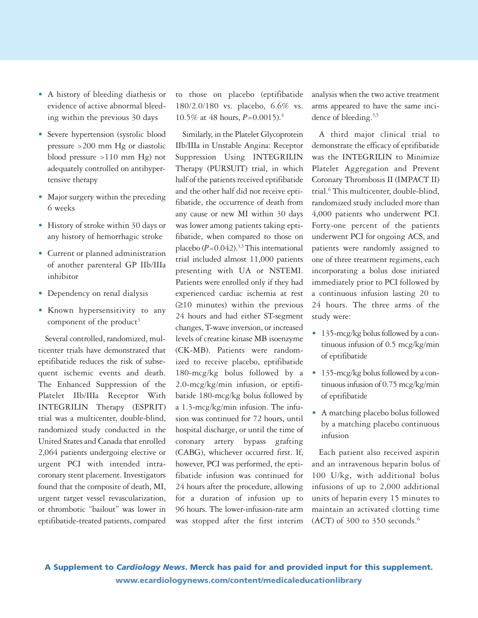- A history of bleeding diathesis or evidence of active abnormal bleeding within the previous 30 days
- Severe hypertension (systolic blood pressure >200 mm Hg or diastolic blood pressure >110 mm Hg) not adequately controlled on antihypertensive therapy
- Major surgery within the preceding 6 weeks
- History of stroke within 30 days or any history of hemorrhagic stroke
- Current or planned administration of another parenteral GP IIb/IIIa inhibitor
- Dependency on renal dialysis
- Known hypersensitivity to any component of the product<sup>3</sup>

Several controlled, randomized, multicenter trials have demonstrated that eptifibatide reduces the risk of subsequent ischemic events and death. The Enhanced Suppression of the Platelet IIb/IIIa Receptor With INTEGRILIN Therapy (ESPRIT) trial was a multicenter, double-blind, randomized study conducted in the United States and Canada that enrolled 2,064 patients undergoing elective or urgent PCI with intended intracoronary stent placement. Investigators found that the composite of death, MI, urgent target vessel revascularization, or thrombotic "bailout" was lower in eptifibatide-treated patients,compared to those on placebo (eptifibatide 180/2.0/180 vs. placebo, 6.6% vs. 10.5% at 48 hours, *P*=0.0015). 4

Similarly, in the Platelet Glycoprotein IIb/IIIa in Unstable Angina: Receptor Suppression Using INTEGRILIN Therapy (PURSUIT) trial, in which half of the patients received eptifibatide and the other half did not receive eptifibatide, the occurrence of death from any cause or new MI within 30 days was lower among patients taking eptifibatide, when compared to those on placebo (*P*=0.042). 3,5This international trial included almost 11,000 patients presenting with UA or NSTEMI. Patients were enrolled only if they had experienced cardiac ischemia at rest (≥10 minutes) within the previous 24 hours and had either ST-segment changes, T-wave inversion, or increased levels of creatine kinase MB isoenzyme (CK-MB). Patients were randomized to receive placebo, eptifibatide 180-mcg/kg bolus followed by a 2.0-mcg/kg/min infusion, or eptifibatide 180-mcg/kg bolus followed by a 1.3-mcg/kg/min infusion. The infusion was continued for 72 hours, until hospital discharge, or until the time of coronary artery bypass grafting (CABG), whichever occurred first. If, however, PCI was performed, the eptifibatide infusion was continued for 24 hours after the procedure, allowing for a duration of infusion up to 96 hours. The lower-infusion-rate arm was stopped after the first interim analysis when the two active treatment arms appeared to have the same incidence of bleeding. 3,5

A third major clinical trial to demonstrate the efficacy of eptifibatide was the INTEGRILIN to Minimize Platelet Aggregation and Prevent Coronary Thrombosis II (IMPACT II) trial. <sup>6</sup> This multicenter, double-blind, randomized study included more than 4,000 patients who underwent PCI. Forty-one percent of the patients underwent PCI for ongoing ACS, and patients were randomly assigned to one of three treatment regimens, each incorporating a bolus dose initiated immediately prior to PCI followed by a continuous infusion lasting 20 to 24 hours. The three arms of the study were:

- 135-mcg/kg bolus followed by a continuous infusion of 0.5 mcg/kg/min of eptifibatide
- 135-mcg/kg bolus followed by a continuous infusion of 0.75 mcg/kg/min of eptifibatide
- A matching placebo bolus followed by a matching placebo continuous infusion

Each patient also received aspirin and an intravenous heparin bolus of 100 U/kg, with additional bolus infusions of up to 2,000 additional units of heparin every 15 minutes to maintain an activated clotting time (ACT) of 300 to 350 seconds. 6

**A Supplement to** *Cardiology News***. Merck has paid for and provided input for this supplement. www.ecardiologynews.com/content/medicaleducationlibrary**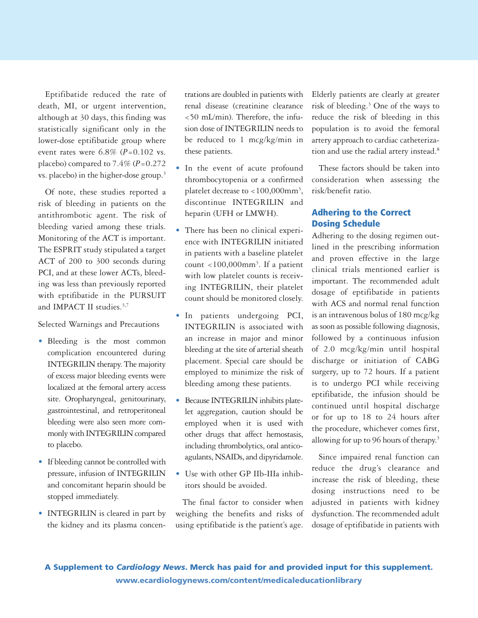Eptifibatide reduced the rate of death, MI, or urgent intervention, although at 30 days, this finding was statistically significant only in the lower-dose eptifibatide group where event rates were  $6.8\%$   $(P=0.102$  vs. placebo) compared to  $7.4\%$  ( $P=0.272$ ) vs. placebo) in the higher-dose group. 3

Of note, these studies reported a risk of bleeding in patients on the antithrombotic agent. The risk of bleeding varied among these trials. Monitoring of the ACT is important. The ESPRIT study stipulated a target ACT of 200 to 300 seconds during PCI, and at these lower ACTs, bleeding was less than previously reported with eptifibatide in the PURSUIT and IMPACT II studies.<sup>3,7</sup>

Selected Warnings and Precautions

- Bleeding is the most common complication encountered during INTEGRILIN therapy. The majority of excess major bleeding events were localized at the femoral artery access site. Oropharyngeal, genitourinary, gastrointestinal, and retroperitoneal bleeding were also seen more commonly with INTEGRILIN compared to placebo.
- If bleeding cannot be controlled with pressure, infusion of INTEGRILIN and concomitant heparin should be stopped immediately.
- INTEGRILIN is cleared in part by the kidney and its plasma concen-

trationsare doubled in patients with renal disease (creatinine clearance <50 mL/min). Therefore, the infusion dose of INTEGRILIN needs to be reduced to 1 mcg/kg/min in these patients.

- In the event of acute profound thrombocytopenia or a confirmed platelet decrease to  $<$  100,000mm<sup>3</sup>, discontinue INTEGRILIN and heparin (UFH or LMWH).
- There has been no clinical experience with INTEGRILIN initiated in patients with a baseline platelet count <100,000mm<sup>3</sup>. If a patient with low platelet counts is receiving INTEGRILIN, their platelet count should be monitored closely.
- In patients undergoing PCI, INTEGRILIN is associated with an increase in major and minor bleeding at the site of arterial sheath placement. Special care should be employed to minimize the risk of bleeding among these patients.
- Because INTEGRILIN inhibits platelet aggregation, caution should be employed when it is used with other drugs that affect hemostasis, including thrombolytics, oral anticoagulants, NSAIDs, and dipyridamole.
- Use with other GP IIb-IIIa inhibitors should be avoided.

The final factor to consider when weighing the benefits and risks of using eptifibatide is the patient's age.

Elderly patients are clearly at greater risk of bleeding. <sup>3</sup> One of the ways to reduce the risk of bleeding in this population is to avoid the femoral artery approach to cardiac catheterization and use the radial artery instead. 8

These factors should be taken into consideration when assessing the risk/benefit ratio.

### **Adhering to the Correct Dosing Schedule**

Adhering to the dosing regimen outlined in the prescribing information and proven effective in the large clinical trials mentioned earlier is important. The recommended adult dosage of eptifibatide in patients with ACS and normal renal function is an intravenous bolus of 180 mcg/kg as soon as possible following diagnosis, followed by a continuous infusion of 2.0 mcg/kg/min until hospital discharge or initiation of CABG surgery, up to 72 hours. If a patient is to undergo PCI while receiving eptifibatide, the infusion should be continued until hospital discharge or for up to 18 to 24 hours after the procedure, whichever comes first, allowing for up to 96 hours of therapy. 3

Since impaired renal function can reduce the drug's clearance and increase the risk of bleeding, these dosing instructions need to be adjusted in patients with kidney dysfunction. The recommended adult dosage of eptifibatide in patients with

**A Supplement to** *Cardiology News***. Merck has paid for and provided input for this supplement. www.ecardiologynews.com/content/medicaleducationlibrary**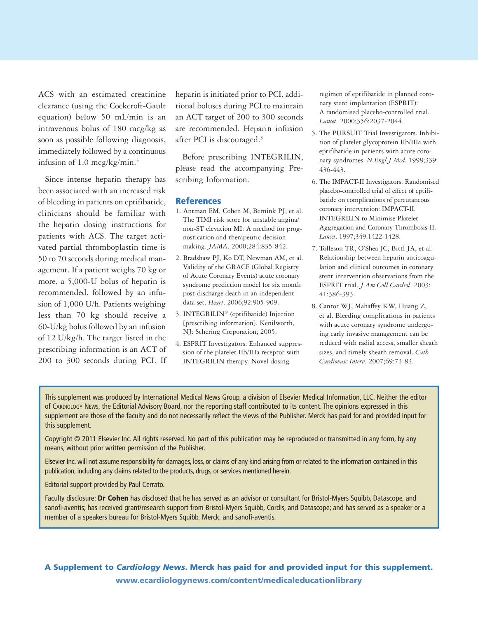ACS with an estimated creatinine clearance (using the Cockcroft-Gault equation) below 50 mL/min is an intravenous bolus of 180 mcg/kg as soon as possible following diagnosis, immediately followed by a continuous infusion of 1.0 mcg/kg/min. 3

Since intense heparin therapy has been associated with an increased risk of bleeding in patients on eptifibatide, clinicians should be familiar with the heparin dosing instructions for patients with ACS. The target activated partial thromboplastin time is 50 to 70 seconds during medical management. If a patient weighs 70 kg or more, a 5,000-U bolus of heparin is recommended, followed by an infusion of 1,000 U/h. Patients weighing less than 70 kg should receive a 60-U/kg bolus followed by an infusion of 12 U/kg/h. The target listed in the prescribing information is an ACT of 200 to 300 seconds during PCI. If heparin is initiated prior to PCI, additional boluses during PCI to maintain an ACT target of 200 to 300 seconds are recommended. Heparin infusion after PCI is discouraged. 3

Before prescribing INTEGRILIN, please read the accompanying Prescribing Information.

#### **References**

- 1. Antman EM, Cohen M, Bernink PJ, et al. The TIMI risk score for unstable angina/ non-ST elevation MI: A method for prognostication and therapeutic decision making. *JAMA*. 2000;284:835-842.
- 2. Bradshaw PJ, Ko DT, Newman AM, et al. Validity of the GRACE (Global Registry of Acute Coronary Events) acute coronary syndrome prediction model for six month post-discharge death in an independent data set. *Heart*. 2006;92:905-909.
- 3. INTEGRILIN® (eptifibatide) Injection [prescribing information]. Kenilworth, NJ: Schering Corporation; 2005.
- 4. ESPRIT Investigators. Enhanced suppression of the platelet IIb/IIIa receptor with INTEGRILIN therapy. Novel dosing

regimen of eptifibatide in planned coronary stent implantation (ESPRIT): A randomised placebo-controlled trial. *Lancet*. 2000;356:2037-2044.

- 5. The PURSUIT Trial Investigators. Inhibition of platelet glycoprotein IIb/IIIa with eptifibatide in patients with acute coronary syndromes. *N Engl J Med*. 1998;339: 436-443.
- 6. The IMPACT-II Investigators. Randomised placebo-controlled trial of effect of eptifibatide on complications of percutaneous coronary intervention: IMPACT-II. INTEGRILIN to Minimise Platelet Aggregation and Coronary Thrombosis-II. *Lancet*. 1997;349:1422-1428.
- 7. Tolleson TR, O'Shea JC, Bittl JA, et al. Relationship between heparin anticoagulation and clinical outcomes in coronary stent intervention observations from the ESPRIT trial. *J Am Coll Cardiol*. 2003; 41:386-393.
- 8. Cantor WJ, Mahaffey KW, Huang Z, et al. Bleeding complications in patients with acute coronary syndrome undergoing early invasive management can be reduced with radial access, smaller sheath sizes, and timely sheath removal. *Cath Cardiovasc Interv*. 2007;69:73-83.

This supplement was produced by International Medical News Group, a division of Elsevier Medical Information, LLC. Neither the editor of CARDIOLOGY NEWS, the Editorial Advisory Board, nor the reporting staff contributed to its content. The opinions expressed in this supplement are those of the faculty and do not necessarily reflect the views of the Publisher. Merck has paid for and provided input for this supplement.

Copyright © 2011 Elsevier Inc. All rights reserved. No part of this publication may be reproduced or transmitted in any form, by any means, without prior written permission of the Publisher.

Elsevier Inc. will not assume responsibility for damages, loss, or claims of any kind arising from or related to the information contained in this publication, including any claims related to the products, drugs, or services mentioned herein.

Editorial support provided by Paul Cerrato.

Faculty disclosure: **Dr Cohen** has disclosed that he has served as an advisor or consultant for Bristol-Myers Squibb, Datascope, and sanofi-aventis; has received grant/research support from Bristol-Myers Squibb, Cordis, and Datascope; and has served as a speaker or a member of a speakers bureau for Bristol-Myers Squibb, Merck, and sanofi-aventis.